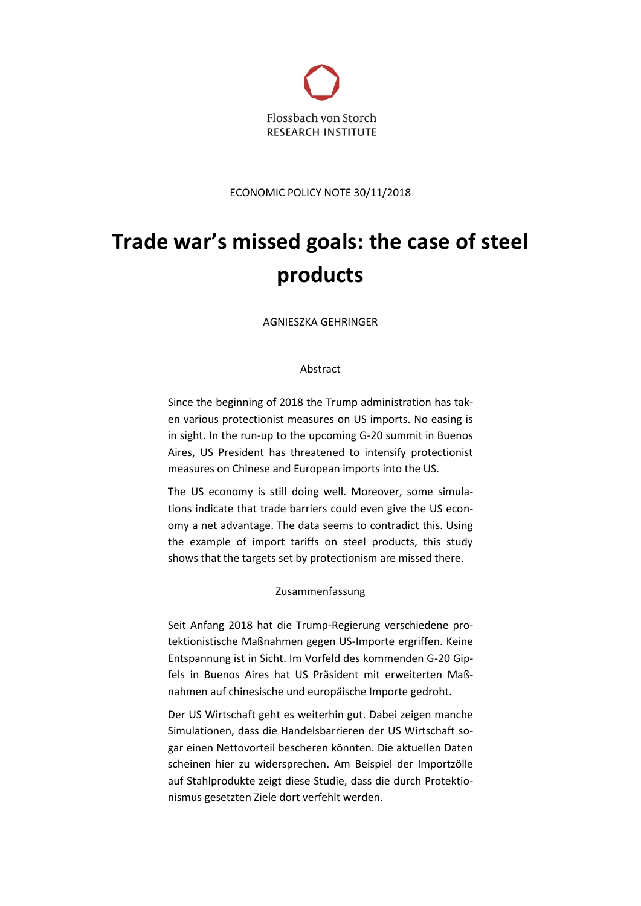

ECONOMIC POLICY NOTE 30/11/2018

# **Trade war's missed goals: the case of steel products**

AGNIESZKA GEHRINGER

# Abstract

Since the beginning of 2018 the Trump administration has taken various protectionist measures on US imports. No easing is in sight. In the run-up to the upcoming G-20 summit in Buenos Aires, US President has threatened to intensify protectionist measures on Chinese and European imports into the US.

The US economy is still doing well. Moreover, some simulations indicate that trade barriers could even give the US economy a net advantage. The data seems to contradict this. Using the example of import tariffs on steel products, this study shows that the targets set by protectionism are missed there.

# Zusammenfassung

Seit Anfang 2018 hat die Trump-Regierung verschiedene protektionistische Maßnahmen gegen US-Importe ergriffen. Keine Entspannung ist in Sicht. Im Vorfeld des kommenden G-20 Gipfels in Buenos Aires hat US Präsident mit erweiterten Maßnahmen auf chinesische und europäische Importe gedroht.

Der US Wirtschaft geht es weiterhin gut. Dabei zeigen manche Simulationen, dass die Handelsbarrieren der US Wirtschaft sogar einen Nettovorteil bescheren könnten. Die aktuellen Daten scheinen hier zu widersprechen. Am Beispiel der Importzölle auf Stahlprodukte zeigt diese Studie, dass die durch Protektionismus gesetzten Ziele dort verfehlt werden.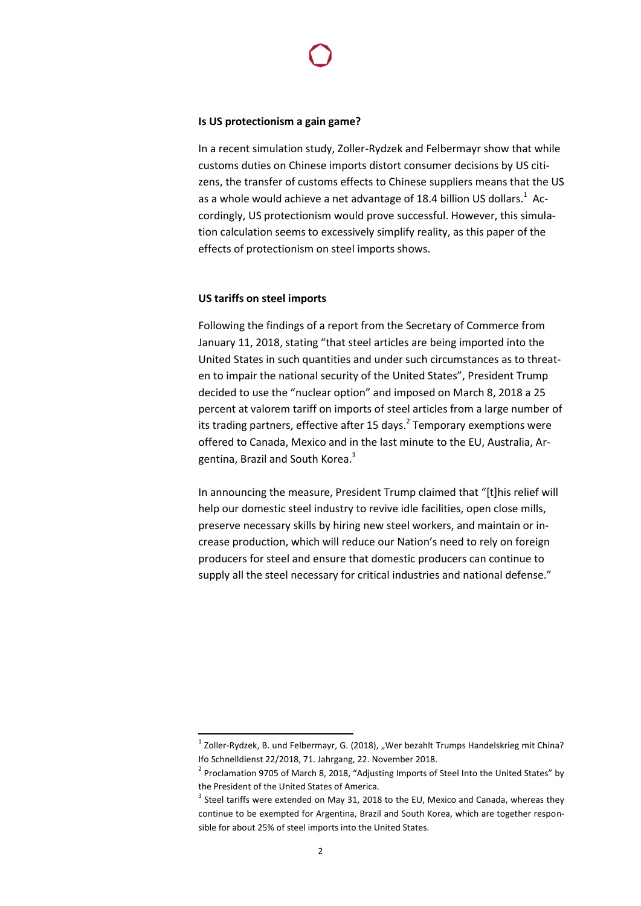# **Is US protectionism a gain game?**

In a recent simulation study, Zoller-Rydzek and Felbermayr show that while customs duties on Chinese imports distort consumer decisions by US citizens, the transfer of customs effects to Chinese suppliers means that the US as a whole would achieve a net advantage of 18.4 billion US dollars. $^1$  Accordingly, US protectionism would prove successful. However, this simulation calculation seems to excessively simplify reality, as this paper of the effects of protectionism on steel imports shows.

#### **US tariffs on steel imports**

Following the findings of a report from the Secretary of Commerce from January 11, 2018, stating "that steel articles are being imported into the United States in such quantities and under such circumstances as to threaten to impair the national security of the United States", President Trump decided to use the "nuclear option" and imposed on March 8, 2018 a 25 percent at valorem tariff on imports of steel articles from a large number of its trading partners, effective after 15 days.<sup>2</sup> Temporary exemptions were offered to Canada, Mexico and in the last minute to the EU, Australia, Argentina, Brazil and South Korea.<sup>3</sup>

In announcing the measure, President Trump claimed that "[t]his relief will help our domestic steel industry to revive idle facilities, open close mills, preserve necessary skills by hiring new steel workers, and maintain or increase production, which will reduce our Nation's need to rely on foreign producers for steel and ensure that domestic producers can continue to supply all the steel necessary for critical industries and national defense."

 $\overline{a}$ 

 $^{1}$  Zoller-Rydzek, B. und Felbermayr, G. (2018), "Wer bezahlt Trumps Handelskrieg mit China? Ifo Schnelldienst 22/2018, 71. Jahrgang, 22. November 2018.

 $2$  Proclamation 9705 of March 8, 2018, "Adjusting Imports of Steel Into the United States" by the President of the United States of America.

 $3$  Steel tariffs were extended on May 31, 2018 to the EU, Mexico and Canada, whereas they continue to be exempted for Argentina, Brazil and South Korea, which are together responsible for about 25% of steel imports into the United States.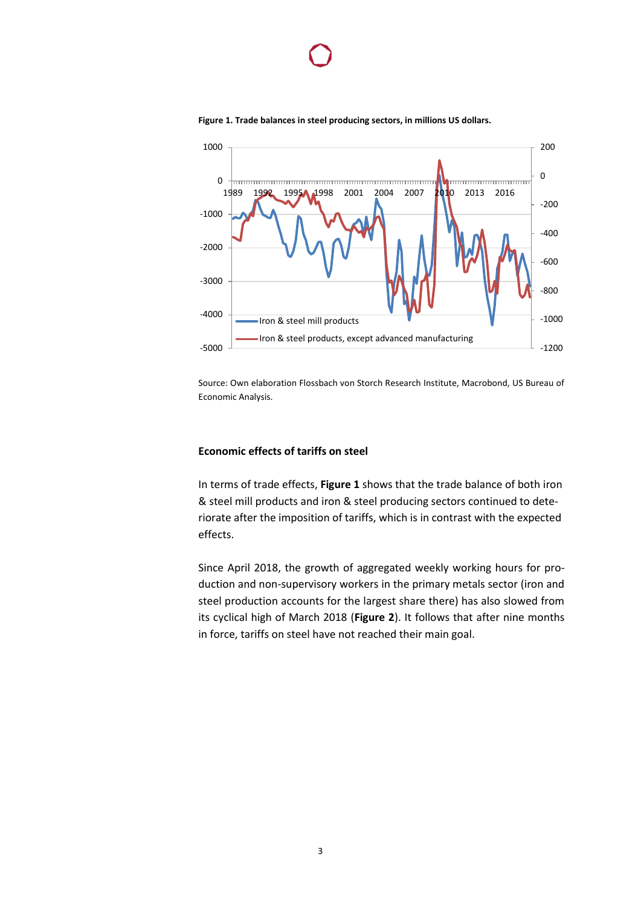

1000 200 0 0 1989 1992 1995**A 1**998 2001 2004 2007 **201**0 2013 2016 -200 -1000 -400 -2000 -600 -3000 -800 -4000 -1000 Iron & steel mill products Iron & steel products, except advanced manufacturing -5000 -1200

**Figure 1. Trade balances in steel producing sectors, in millions US dollars.**

Source: Own elaboration Flossbach von Storch Research Institute, Macrobond, US Bureau of Economic Analysis.

# **Economic effects of tariffs on steel**

In terms of trade effects, **Figure 1** shows that the trade balance of both iron & steel mill products and iron & steel producing sectors continued to deteriorate after the imposition of tariffs, which is in contrast with the expected effects.

Since April 2018, the growth of aggregated weekly working hours for production and non-supervisory workers in the primary metals sector (iron and steel production accounts for the largest share there) has also slowed from its cyclical high of March 2018 (**Figure 2**). It follows that after nine months in force, tariffs on steel have not reached their main goal.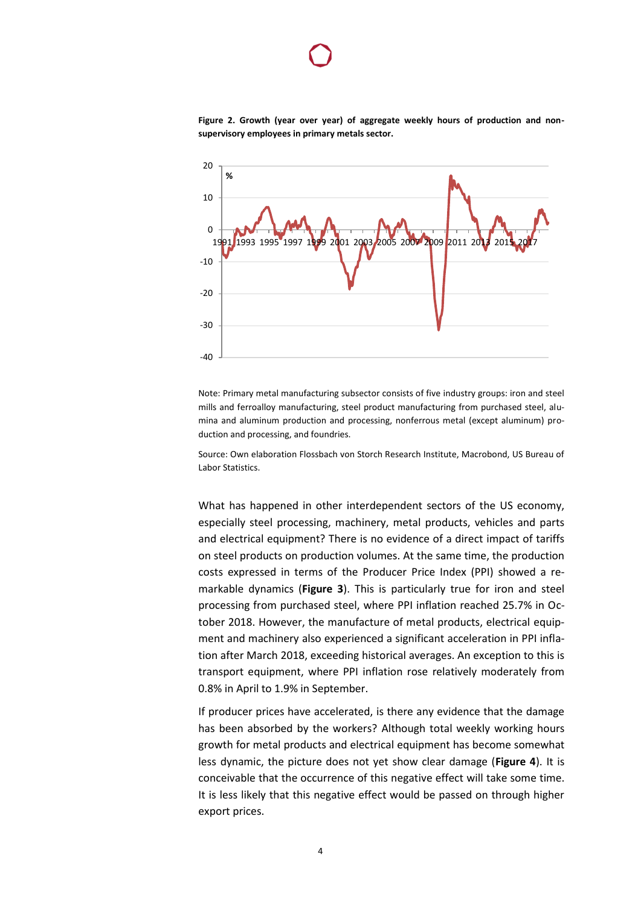

**Figure 2. Growth (year over year) of aggregate weekly hours of production and nonsupervisory employees in primary metals sector.**

Note: Primary metal manufacturing subsector consists of five industry groups: iron and steel mills and ferroalloy manufacturing, steel product manufacturing from purchased steel, alumina and aluminum production and processing, nonferrous metal (except aluminum) production and processing, and foundries.

Source: Own elaboration Flossbach von Storch Research Institute, Macrobond, US Bureau of Labor Statistics.

What has happened in other interdependent sectors of the US economy, especially steel processing, machinery, metal products, vehicles and parts and electrical equipment? There is no evidence of a direct impact of tariffs on steel products on production volumes. At the same time, the production costs expressed in terms of the Producer Price Index (PPI) showed a remarkable dynamics (**Figure 3**). This is particularly true for iron and steel processing from purchased steel, where PPI inflation reached 25.7% in October 2018. However, the manufacture of metal products, electrical equipment and machinery also experienced a significant acceleration in PPI inflation after March 2018, exceeding historical averages. An exception to this is transport equipment, where PPI inflation rose relatively moderately from 0.8% in April to 1.9% in September.

If producer prices have accelerated, is there any evidence that the damage has been absorbed by the workers? Although total weekly working hours growth for metal products and electrical equipment has become somewhat less dynamic, the picture does not yet show clear damage (**Figure 4**). It is conceivable that the occurrence of this negative effect will take some time. It is less likely that this negative effect would be passed on through higher export prices.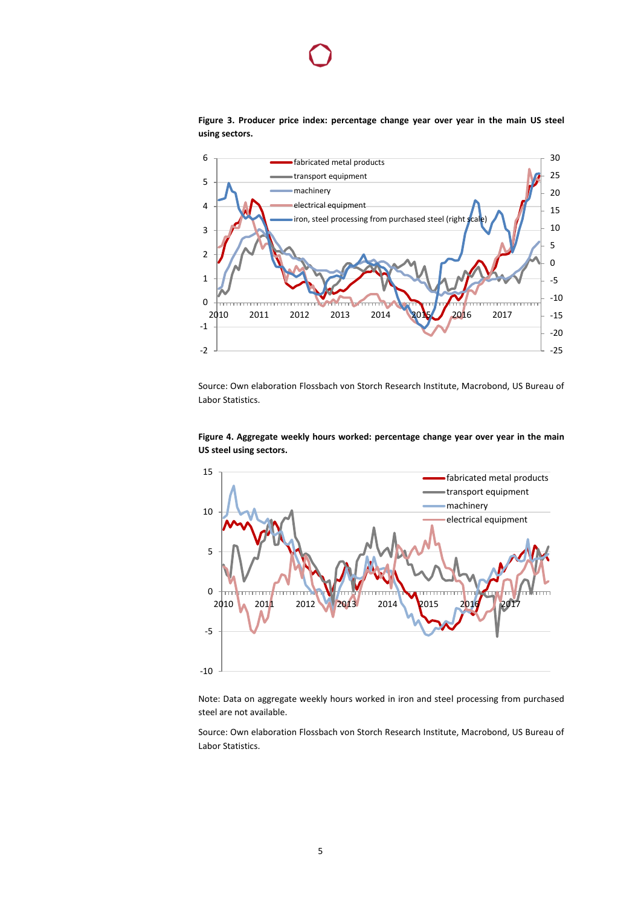



Source: Own elaboration Flossbach von Storch Research Institute, Macrobond, US Bureau of Labor Statistics.





Note: Data on aggregate weekly hours worked in iron and steel processing from purchased steel are not available.

Source: Own elaboration Flossbach von Storch Research Institute, Macrobond, US Bureau of Labor Statistics.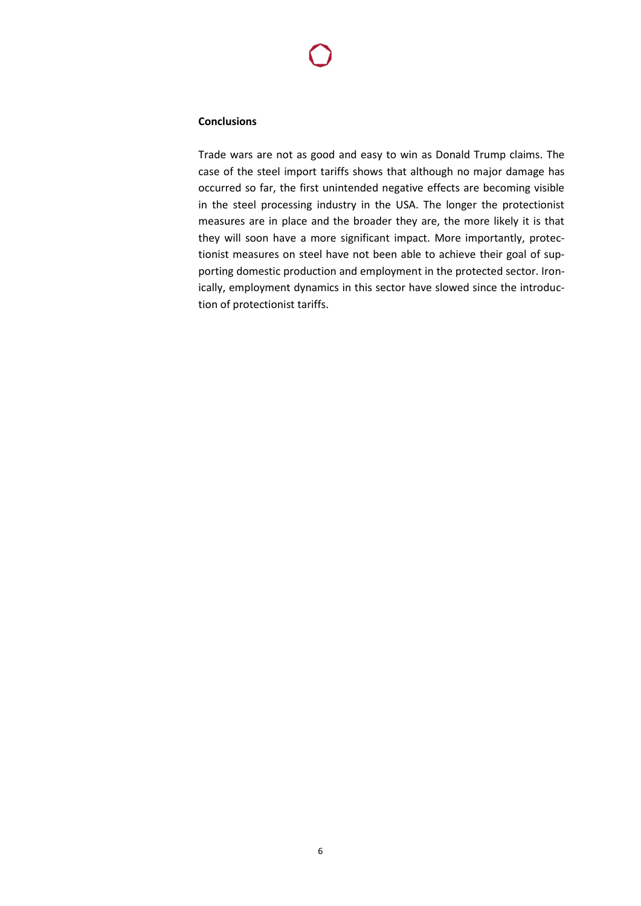### **Conclusions**

Trade wars are not as good and easy to win as Donald Trump claims. The case of the steel import tariffs shows that although no major damage has occurred so far, the first unintended negative effects are becoming visible in the steel processing industry in the USA. The longer the protectionist measures are in place and the broader they are, the more likely it is that they will soon have a more significant impact. More importantly, protectionist measures on steel have not been able to achieve their goal of supporting domestic production and employment in the protected sector. Ironically, employment dynamics in this sector have slowed since the introduction of protectionist tariffs.